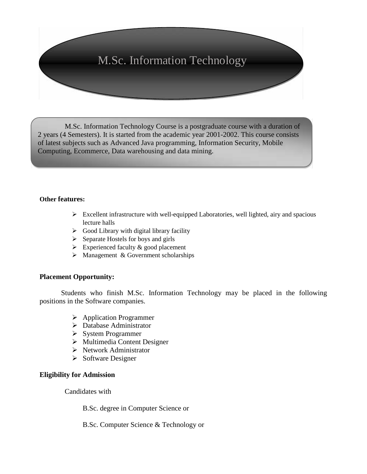# M.Sc. Information Technology

M.Sc. Information Technology Course is a postgraduate course with a duration of 2 years (4 Semesters). It is started from the academic year 2001-2002. This course consists of latest subjects such as Advanced Java programming, Information Security, Mobile Computing, Ecommerce, Data warehousing and data mining.

#### **Other features:**

- $\triangleright$  Excellent infrastructure with well-equipped Laboratories, well lighted, airy and spacious lecture halls
- $\triangleright$  Good Library with digital library facility
- $\triangleright$  Separate Hostels for boys and girls
- $\triangleright$  Experienced faculty & good placement
- $\triangleright$  Management & Government scholarships

#### **Placement Opportunity:**

Students who finish M.Sc. Information Technology may be placed in the following positions in the Software companies.

- Application Programmer
- Database Administrator
- $\triangleright$  System Programmer
- $\triangleright$  Multimedia Content Designer
- $\triangleright$  Network Administrator
- $\triangleright$  Software Designer

#### **Eligibility for Admission**

Candidates with

B.Sc. degree in Computer Science or

B.Sc. Computer Science & Technology or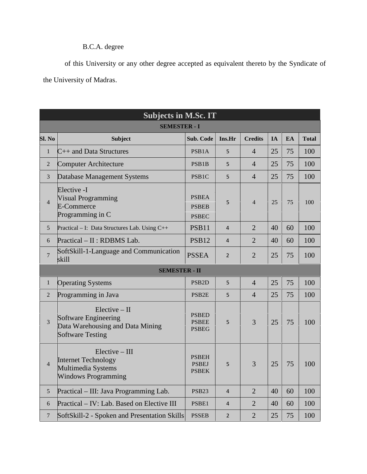### B.C.A. degree

of this University or any other degree accepted as equivalent thereto by the Syndicate of the University of Madras.

|                     | <b>Subjects in M.Sc. IT</b>                                                                            |                                              |                |                |    |           |              |  |  |  |  |
|---------------------|--------------------------------------------------------------------------------------------------------|----------------------------------------------|----------------|----------------|----|-----------|--------------|--|--|--|--|
| <b>SEMESTER - I</b> |                                                                                                        |                                              |                |                |    |           |              |  |  |  |  |
| Sl. No              | <b>Subject</b>                                                                                         | Sub. Code                                    | Ins.Hr         | <b>Credits</b> | IA | <b>EA</b> | <b>Total</b> |  |  |  |  |
| $\mathbf{1}$        | $C_{++}$ and Data Structures                                                                           | PSB1A                                        | 5              | $\overline{4}$ | 25 | 75        | 100          |  |  |  |  |
| $\sqrt{2}$          | <b>Computer Architecture</b>                                                                           | PSB1B                                        | 5              | $\overline{4}$ | 25 | 75        | 100          |  |  |  |  |
| $\overline{3}$      | Database Management Systems                                                                            | PSB1C                                        | 5              | $\overline{4}$ | 25 | 75        | 100          |  |  |  |  |
| $\overline{4}$      | Elective -I<br><b>Visual Programming</b><br>E-Commerce<br>Programming in C                             | <b>PSBEA</b><br><b>PSBEB</b><br><b>PSBEC</b> | 5              | $\overline{4}$ | 25 | 75        | 100          |  |  |  |  |
| 5                   | Practical - I: Data Structures Lab. Using C++                                                          | <b>PSB11</b>                                 | $\overline{4}$ | $\overline{2}$ | 40 | 60        | 100          |  |  |  |  |
| 6                   | Practical - II : RDBMS Lab.                                                                            | <b>PSB12</b>                                 | $\overline{4}$ | $\overline{2}$ | 40 | 60        | 100          |  |  |  |  |
| $\overline{7}$      | SoftSkill-1-Language and Communication<br>skill                                                        | <b>PSSEA</b>                                 | $\overline{2}$ | $\overline{2}$ | 25 | 75        | 100          |  |  |  |  |
|                     | <b>SEMESTER - II</b>                                                                                   |                                              |                |                |    |           |              |  |  |  |  |
| $\mathbf{1}$        | <b>Operating Systems</b>                                                                               | PSB <sub>2</sub> D                           | 5              | $\overline{4}$ | 25 | 75        | 100          |  |  |  |  |
| $\overline{2}$      | Programming in Java                                                                                    | PSB <sub>2E</sub>                            | 5              | $\overline{4}$ | 25 | 75        | 100          |  |  |  |  |
| 3                   | $Elective - II$<br>Software Engineering<br>Data Warehousing and Data Mining<br><b>Software Testing</b> | <b>PSBED</b><br><b>PSBEE</b><br><b>PSBEG</b> | 5              | $\overline{3}$ | 25 | 75        | 100          |  |  |  |  |
| $\overline{4}$      | $Elective - III$<br><b>Internet Technology</b><br>Multimedia Systems<br><b>Windows Programming</b>     | <b>PSBEH</b><br><b>PSBEJ</b><br><b>PSBEK</b> | 5              | $\overline{3}$ | 25 | 75        | 100          |  |  |  |  |
| 5                   | Practical – III: Java Programming Lab.                                                                 | <b>PSB23</b>                                 | $\overline{4}$ | $\overline{2}$ | 40 | 60        | 100          |  |  |  |  |
| 6                   | Practical - IV: Lab. Based on Elective III                                                             | PSBE1                                        | $\overline{4}$ | $\overline{2}$ | 40 | 60        | 100          |  |  |  |  |
| $\overline{7}$      | SoftSkill-2 - Spoken and Presentation Skills                                                           | <b>PSSEB</b>                                 | $\overline{2}$ | $\overline{2}$ | 25 | 75        | 100          |  |  |  |  |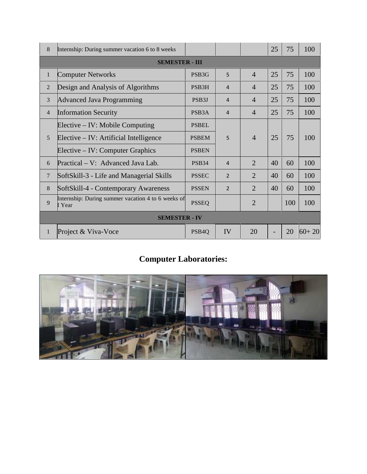| 8                     | Internship: During summer vacation 6 to 8 weeks              |                    |                |                | 25 | 75  | 100       |  |  |
|-----------------------|--------------------------------------------------------------|--------------------|----------------|----------------|----|-----|-----------|--|--|
| <b>SEMESTER - III</b> |                                                              |                    |                |                |    |     |           |  |  |
| $\mathbf{1}$          | <b>Computer Networks</b>                                     | PSB <sub>3G</sub>  | 5              | $\overline{4}$ | 25 | 75  | 100       |  |  |
| $\overline{2}$        | Design and Analysis of Algorithms                            | PSB <sub>3</sub> H | 4              | $\overline{4}$ | 25 | 75  | 100       |  |  |
| 3                     | <b>Advanced Java Programming</b>                             | PSB <sub>3</sub> J | 4              | $\overline{4}$ | 25 | 75  | 100       |  |  |
| $\overline{4}$        | <b>Information Security</b>                                  | PSB <sub>3</sub> A | 4              | $\overline{4}$ | 25 | 75  | 100       |  |  |
|                       | Elective – IV: Mobile Computing                              | <b>PSBEL</b>       | 5              | $\overline{4}$ | 25 | 75  | 100       |  |  |
| 5                     | Elective – IV: Artificial Intelligence                       | <b>PSBEM</b>       |                |                |    |     |           |  |  |
|                       | Elective – IV: Computer Graphics                             | <b>PSBEN</b>       |                |                |    |     |           |  |  |
| 6                     | Practical – V: Advanced Java Lab.                            | <b>PSB34</b>       | $\overline{4}$ | $\overline{2}$ | 40 | 60  | 100       |  |  |
| $\overline{7}$        | SoftSkill-3 - Life and Managerial Skills                     | <b>PSSEC</b>       | $\overline{2}$ | $\overline{2}$ | 40 | 60  | 100       |  |  |
| 8                     | SoftSkill-4 - Contemporary Awareness                         | <b>PSSEN</b>       | $\overline{2}$ | $\overline{2}$ | 40 | 60  | 100       |  |  |
| 9                     | Internship: During summer vacation 4 to 6 weeks of<br>I Year | <b>PSSEQ</b>       |                | $\overline{2}$ |    | 100 | 100       |  |  |
| <b>SEMESTER - IV</b>  |                                                              |                    |                |                |    |     |           |  |  |
| $\mathbf{1}$          | Project & Viva-Voce                                          | PSB <sub>4</sub> Q | IV             | 20             |    | 20  | $60 + 20$ |  |  |

## **Computer Laboratories:**